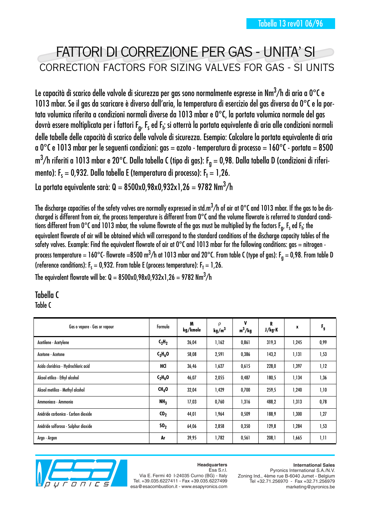# FATTORI DI CORREZIONE PER GAS - UNITA' SI CORRECTION FACTORS FOR SIZING VALVES FOR GAS - SI UNITS

Le capacità di scarico delle valvole di sicurezza per gas sono normalmente espresse in Nm $^3\!/$ h di aria a 0°C e 1013 mbar. Se il gas da scaricare è diverso dall'aria, la temperatura di esercizio del gas diversa da 0°C e la portata volumica riferita a condizioni normali diverse da 1013 mbar e 0°C, la portata volumica normale del gas dovrà essere moltiplicata per i fattori F<sub>g</sub>, F<sub>s</sub> ed F<sub>t</sub>; si otterrà la portata equivalente di aria alle condizioni normali delle tabelle delle capacità di scarico delle valvole di sicurezza. Esempio: Calcolare la portata equivalente di aria a 0°C e 1013 mbar per le seguenti condizioni: gas = azoto - temperatura di processo = 160°C - portata = 8500 m $^3\!/$ h riferiti a 1013 mbar e 20°C. Dalla tabella C (tipo di gas): F $_{\rm g}$  = 0,98. Dalla tabella D (condizioni di riferimento): F $_{\sf s}$  = 0,932. Dalla tabella E (temperatura di processo): F $_{\sf t}$  = 1,26.

La portata equivalente sarà: Q = 8500x0,98x0,932x1,26 = 9782 Nm $^3\!/$ h

The discharge capacities of the safety valves are normally expressed in std.m $^3\!/$ h of air at 0°C and 1013 mbar. If the gas to be discharged is different from air, the process temperature is different from 0°C and the volume flowrate is referred to standard conditions different from 0°C and 1013 mbar, the volume flowrate of the gas must be multiplied by the factors F<sub>g</sub>, F<sub>s</sub> ed F<sub>t</sub>; the equivalent flowrate of air will be obtained which will correspond to the standard conditions of the discharge capacity tables of the safety valves. Example: Find the equivalent flowrate of air at  $0^{\circ}$ C and 1013 mbar for the following conditions: gas = nitrogen process temperature = 160°C- flowrate =8500 m $^3\!/$ h at 1013 mbar and 20°C. From table C (type of gas): F<sub>g</sub> = 0,98. From table D (reference conditions):  $\mathsf{F}_\mathsf{s} = \mathsf{0}$ ,932. From table E (process temperature):  $\mathsf{F}_\mathsf{t} = \mathsf{1}$ ,26. The equivalent flowrate will be: Q = 8500x0,98x0,932x1,26 = 9782 Nm $^3\!/\mathrm{h}$ 

### Tabella C

Table C

| Gas o vapore - Gas or vapour         | Formula           | M<br>kg/kmole | $\rho$<br>kg/m <sup>3</sup> | ۷<br>$m^3/kg$ | R<br>J/kg-K | x     | $F_{g}$ |
|--------------------------------------|-------------------|---------------|-----------------------------|---------------|-------------|-------|---------|
| Acetilene - Acetylene                | $C_2H_2$          | 26,04         | 1,162                       | 0,861         | 319,3       | 1,245 | 0,99    |
| Acetone - Acetone                    | $C_3H_6O$         | 58,08         | 2,591                       | 0,386         | 143,2       | 1,131 | 1,53    |
| Acido cloridrico - Hydrochloric acid | HCI               | 36,46         | 1,627                       | 0,615         | 228,0       | 1,397 | 1,12    |
| Alcool etilico - Ethyl alcohol       | $C_2H_6O$         | 46,07         | 2,055                       | 0,487         | 180,5       | 1,134 | 1,36    |
| Alcool metilico - Methyl alcohol     | CH <sub>4</sub> O | 32,04         | 1,429                       | 0,700         | 259,5       | 1,240 | 1,10    |
| Ammoniaca - Ammonia                  | NH <sub>3</sub>   | 17,03         | 0,760                       | 1,316         | 488,2       | 1,313 | 0,78    |
| Anidride carbonica - Carbon dioxide  | ${c_0}_2$         | 44,01         | 1,964                       | 0,509         | 188,9       | 1,300 | 1,27    |
| Anidride solforosa - Sulphur dioxide | SO <sub>2</sub>   | 64,06         | 2,858                       | 0,350         | 129,8       | 1,284 | 1,53    |
| Argo - Argon                         | Ar                | 39,95         | 1,782                       | 0,561         | 208,1       | 1,665 | 1,11    |



#### **Headquarters** Esa S.r.l.

Via E. Fermi 40 I-24035 Curno (BG) - Italy Tel. +39.035.6227411 - Fax +39.035.6227499 esa@esacombustion.it - www.esapyronics.com

#### **International Sales**

Pyronics International S.A./N.V. Zoning Ind., 4ème rue B-6040 Jumet - Belgium Tel +32.71.256970 - Fax +32.71.256979 marketing@pyronics.be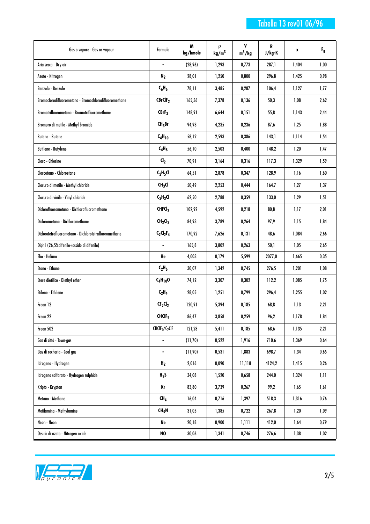### Tabella 13 rev01 06/96

| Gas o vapore - Gas or vapour                          | Formula                         | M<br>kg/kmole | ρ<br>kg/m <sup>3</sup> | ۷<br>$m^3/kg$ | R<br>J/kg-K | x     | $F_{g}$ |
|-------------------------------------------------------|---------------------------------|---------------|------------------------|---------------|-------------|-------|---------|
| Aria secca - Dry air                                  |                                 | (28, 96)      | 1,293                  | 0,773         | 287,1       | 1,404 | 1,00    |
| Azoto - Nitrogen                                      | $N_2$                           | 28,01         | 1,250                  | 0,800         | 296,8       | 1,425 | 0,98    |
| Benzolo - Benzole                                     | $C_6H_6$                        | 78,11         | 3,485                  | 0,287         | 106,4       | 1,127 | 1,77    |
| Bromoclorodifluorometano - Bromochlorodifluoromethane | CBrClF <sub>2</sub>             | 165,36        | 7,378                  | 0,136         | 50,3        | 1,08  | 2,62    |
| Bromotrifluorometano - Bromotrifluoromethane          | CBrF <sub>3</sub>               | 148,91        | 6,644                  | 0,151         | 55,8        | 1,143 | 2,44    |
| Bromuro di metile - Methyl bromide                    | CH <sub>3</sub> Br              | 94,93         | 4,235                  | 0,236         | 87,6        | 1,25  | 1,88    |
| <b>Butano - Butane</b>                                | $C_4H_{10}$                     | 58,12         | 2,593                  | 0,386         | 143,1       | 1,114 | 1,54    |
| <b>Butilene - Butylene</b>                            | $C_4H_8$                        | 56,10         | 2,503                  | 0,400         | 148,2       | 1,20  | 1,47    |
| Cloro - Chlorine                                      | $d_2$                           | 70,91         | 3,164                  | 0,316         | 117,3       | 1,329 | 1,59    |
| Cloroetano - Chloroetane                              | $C_2H_5Cl$                      | 64,51         | 2,878                  | 0,347         | 128,9       | 1,16  | 1,60    |
| Cloruro di metile - Methyl chloride                   | CH <sub>3</sub> Cl              | 50,49         | 2,253                  | 0,444         | 164,7       | 1,27  | 1,37    |
| Cloruro di vinile - Vinyl chloride                    | $C_2H_3Cl$                      | 62,50         | 2,788                  | 0,359         | 133,0       | 1,29  | 1,51    |
| Diclorofluorometano - Dichlorofluoromethane           | CHFCI <sub>2</sub>              | 102,92        | 4,592                  | 0,218         | 80,8        | 1,17  | 2,01    |
| Diclorometano - Dichloromethane                       | CH <sub>2</sub> Cl <sub>2</sub> | 84,93         | 3,789                  | 0,264         | 97,9        | 1,15  | 1,84    |
| Diclorotetrafluorometano - Dichlorotetrafluoromethane | $C_2Cl_2F_4$                    | 170,92        | 7,626                  | 0,131         | 48,6        | 1,084 | 2,66    |
| Diphil (26,5% difenile+ossido di difenile)            |                                 | 165,8         | 3,802                  | 0,263         | 50,1        | 1,05  | 2,65    |
| Elio - Helium                                         | He                              | 4,003         | 0,179                  | 5,599         | 2077,0      | 1,665 | 0,35    |
| Etano - Ethane                                        | $C_2H_6$                        | 30,07         | 1,342                  | 0,745         | 276,5       | 1,201 | 1,08    |
| Etere dietilico - Diethyl ether                       | $C_4H_{10}O$                    | 74,12         | 3,307                  | 0,302         | 112,2       | 1,085 | 1,75    |
| Etilene - Ethilene                                    | $C_2H_4$                        | 28,05         | 1,251                  | 0,799         | 296,4       | 1,255 | 1,02    |
| Freon 12                                              | $CF_2Cl_2$                      | 120,91        | 5,394                  | 0,185         | 68,8        | 1,13  | 2,21    |
| Freon 22                                              | CHCIF <sub>2</sub>              | 86,47         | 3,858                  | 0,259         | 96,2        | 1,178 | 1,84    |
| Freon 502                                             | $CHCIF_{2}/C_{2}CIF$            | 121,28        | 5,411                  | 0,185         | 68,6        | 1,135 | 2,21    |
| Gas di città - Town-gas                               |                                 | (11,70)       | 0,522                  | 1,916         | 710,6       | 1,369 | 0,64    |
| Gas di cocheria - Coal gas                            |                                 | (11,90)       | 0,531                  | 1,883         | 698,7       | 1,34  | 0,65    |
| Idrogeno - Hydrogen                                   | H <sub>2</sub>                  | 2,016         | 0,090                  | 11,118        | 4124,2      | 1,415 | 0,26    |
| Idrogeno solforato - Hydrogen sulphide                | $H_2S$                          | 34,08         | 1,520                  | 0,658         | 244,0       | 1,324 | 1,11    |
| Kripto - Krypton                                      | Kr                              | 83,80         | 3,739                  | 0,267         | 99,2        | 1,65  | 1,61    |
| Metano - Methane                                      | CH <sub>4</sub>                 | 16,04         | 0,716                  | 1,397         | 518,3       | 1,316 | 0,76    |
| Metilamina - Methylamine                              | CH <sub>5</sub> N               | 31,05         | 1,385                  | 0,722         | 267,8       | 1,20  | 1,09    |
| Neon - Neon                                           | Ne                              | 20,18         | 0,900                  | 1,111         | 412,0       | 1,64  | 0,79    |
| Ossido di azoto - Nitrogen oxide                      | NO                              | 30,06         | 1,341                  | 0,746         | 276,6       | 1,38  | 1,02    |

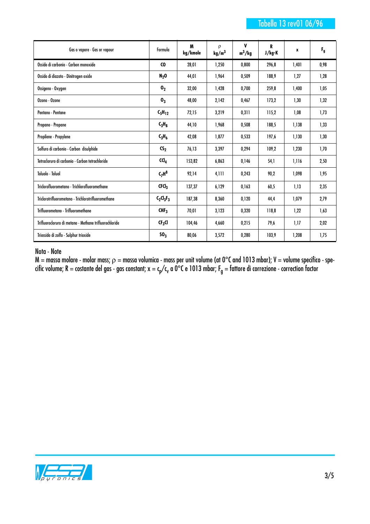| Gas o vapore - Gas or vapour                           | Formula            | M<br>kg/kmole | $\Omega$<br>kg/m <sup>3</sup> | ۷<br>$m^3/kg$ | R<br>J/kg-K | x     | $F_{g}$ |
|--------------------------------------------------------|--------------------|---------------|-------------------------------|---------------|-------------|-------|---------|
| Ossido di carbonio - Carbon monoxide                   | CO.                | 28,01         | 1,250                         | 0,800         | 296,8       | 1,401 | 0,98    |
| Ossido di diazoto - Dinitrogen oxide                   | $N_2$ O            | 44,01         | 1,964                         | 0,509         | 188,9       | 1,27  | 1,28    |
| Ossigeno - Oxygen                                      | $\mathbf{0}_2$     | 32,00         | 1,428                         | 0,700         | 259,8       | 1,400 | 1,05    |
| Ozono - Ozone                                          | 0 <sub>3</sub>     | 48,00         | 2,142                         | 0,467         | 173,2       | 1,30  | 1,32    |
| Pentano - Pentane                                      | $C_5H_{12}$        | 72,15         | 3,219                         | 0,311         | 115,2       | 1,08  | 1,73    |
| Propano - Propane                                      | $C_3H_8$           | 44,10         | 1,968                         | 0,508         | 188.5       | 1,138 | 1,33    |
| Propilene - Propylene                                  | $C_3H_6$           | 42,08         | 1,877                         | 0,533         | 197,6       | 1,130 | 1,30    |
| Solfuro di carbonio - Carbon disulphide                | $\mathsf{CS}_2$    | 76,13         | 3,397                         | 0,294         | 109.2       | 1,230 | 1,70    |
| Tetracloruro di carbonio - Carbon tetrachloride        | CCI <sub>4</sub>   | 153,82        | 6,863                         | 0,146         | 54,1        | 1,116 | 2,50    |
| Toluolo - Toluol                                       | $C_7H^8$           | 92,14         | 4,111                         | 0,243         | 90,2        | 1,098 | 1,95    |
| Triclorofluorometano - Trichlorofluoromethane          | CFCI <sub>3</sub>  | 137,37        | 6,129                         | 0,163         | 60,5        | 1,13  | 2,35    |
| Triclorotrifluorometano - Trichlorotrifluoromethane    | $C_2Cl_3F_3$       | 187,38        | 8,360                         | 0,120         | 44,4        | 1,079 | 2,79    |
| Trifluorometano - Trifluoromethane                     | CHF <sub>3</sub>   | 70,01         | 3,123                         | 0,320         | 118,8       | 1,22  | 1,63    |
| Trifluorocloruro di metano - Methane trifluorochloride | CF <sub>3</sub> Cl | 104,46        | 4,660                         | 0,215         | 79,6        | 1,17  | 2,02    |
| Triossido di zolfo - Sulphur trioxide                  | SO <sub>3</sub>    | 80,06         | 3,572                         | 0,280         | 103,9       | 1,208 | 1,75    |

#### Nota - Note

M = massa molare - molar mass;  $\rho$  = massa volumica - mass per unit volume (at 0°C and 1013 mbar); V = volume specifico - specific volume; R = costante del gas - gas constant; x = c<sub>p</sub>/c<sub>v</sub> a 0°C e 1013 mbar; F<sub>g</sub> = fattore di correzione - correction factor

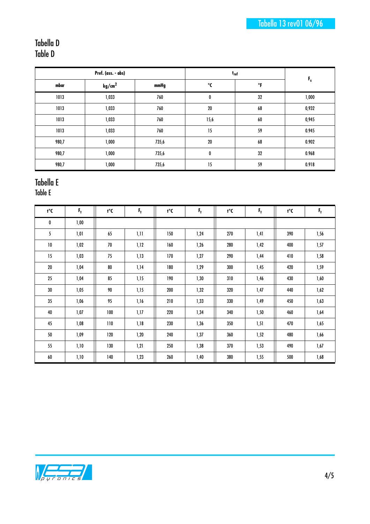### Tabella D Table D

| Pref. (ass. - abs) |                    |       | $t_{\rm ref}$ |    |         |
|--------------------|--------------------|-------|---------------|----|---------|
| mbar               | kg/cm <sup>2</sup> | mmHg  | °C            | °F | $F_{s}$ |
| 1013               | 1,033              | 760   | 0             | 32 | 1,000   |
| 1013               | 1,033              | 760   | $20\,$        | 68 | 0,932   |
| 1013               | 1,033              | 760   | 15,6          | 60 | 0,945   |
| 1013               | 1,033              | 760   | 15            | 59 | 0.945   |
| 980,7              | 1,000              | 735,6 | 20            | 68 | 0.902   |
| 980,7              | 1,000              | 735,6 | 0             | 32 | 0.968   |
| 980,7              | 1,000              | 735,6 | 15            | 59 | 0.918   |

## Tabella E

Table E

| 1°C | F,   | t°C | F,   | t°С | F,   | t°C | $F_{\rm f}$ | 1°C | $F_{\rm f}$ |
|-----|------|-----|------|-----|------|-----|-------------|-----|-------------|
| 0   | 1,00 |     |      |     |      |     |             |     |             |
| 5   | 1,01 | 65  | 1,11 | 150 | 1,24 | 270 | 1,41        | 390 | 1,56        |
| 10  | 1,02 | 70  | 1,12 | 160 | 1,26 | 280 | 1,42        | 400 | 1,57        |
| 15  | 1,03 | 75  | 1,13 | 170 | 1,27 | 290 | 1,44        | 410 | 1,58        |
| 20  | 1,04 | 80  | 1,14 | 180 | 1,29 | 300 | 1,45        | 420 | 1,59        |
| 25  | 1,04 | 85  | 1,15 | 190 | 1,30 | 310 | 1,46        | 430 | 1,60        |
| 30  | 1,05 | 90  | 1,15 | 200 | 1,32 | 320 | 1,47        | 440 | 1,62        |
| 35  | 1,06 | 95  | 1,16 | 210 | 1,33 | 330 | 1,49        | 450 | 1,63        |
| 40  | 1,07 | 100 | 1,17 | 220 | 1,34 | 340 | 1,50        | 460 | 1,64        |
| 45  | 1,08 | 110 | 1,18 | 230 | 1,36 | 350 | 1,51        | 470 | 1,65        |
| 50  | 1,09 | 120 | 1,20 | 240 | 1,37 | 360 | 1,52        | 480 | 1,66        |
| 55  | 1,10 | 130 | 1,21 | 250 | 1,38 | 370 | 1,53        | 490 | 1,67        |
| 60  | 1,10 | 140 | 1,23 | 260 | 1,40 | 380 | 1,55        | 500 | 1,68        |